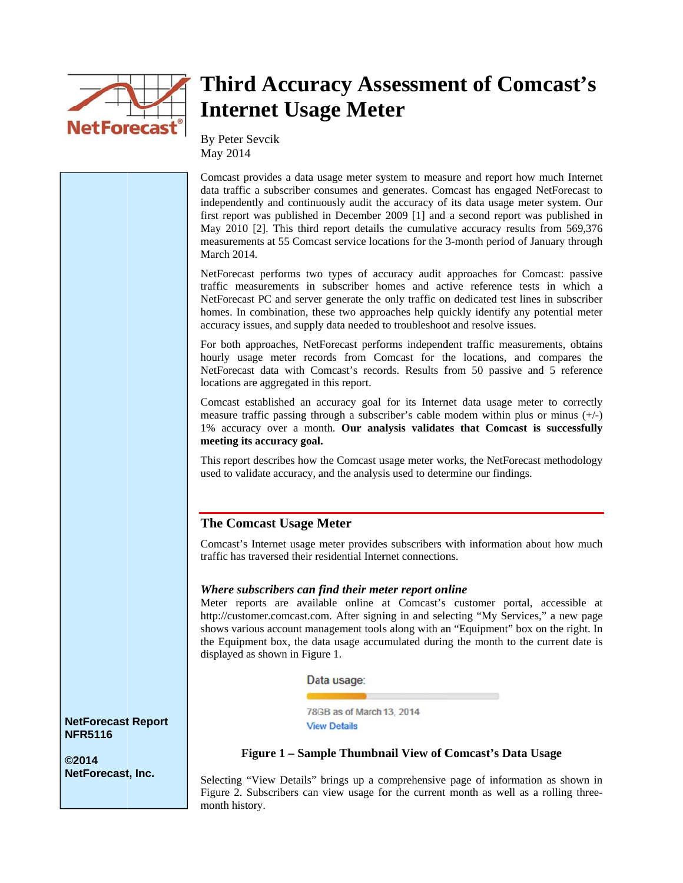

## **Third Accuracy Assessment of Comcast's Internet Usage Meter**

By Peter Sevcik May 2014

Comcast provides a data usage meter system to measure and report how much Internet data traffic a subscriber consumes and generates. Comcast has engaged NetForecast to independently and continuously audit the accuracy of its data usage meter system. Our first report was published in December 2009 [1] and a second report was published in May 2010 [2]. This third report details the cumulative accuracy results from 569,376 measurements at 55 Comcast service locations for the 3-month period of January through March 2014.

NetForecast performs two types of accuracy audit approaches for Comcast: passive traffic measurements in subscriber homes and active reference tests in which a NetForecast PC and server generate the only traffic on dedicated test lines in subscriber homes. In combination, these two approaches help quickly identify any potential meter accuracy issues, and supply data needed to troubleshoot and resolve issues.

For both approaches, NetForecast performs independent traffic measurements, obtains hourly usage meter records from Comcast for the locations, and compares the NetForecast data with Comcast's records. Results from 50 passive and 5 reference locations are aggregated in this report.

Comcast established an accuracy goal for its Internet data usage meter to correctly measure traffic passing through a subscriber's cable modem within plus or minus  $(+/-)$ 1% accuracy over a month. Our analysis validates that Comcast is successfully meeting its accuracy goal.

This report describes how the Comcast usage meter works, the NetForecast methodology used to validate accuracy, and the analysis used to determine our findings.

#### **The Comcast Usage Meter**

Comcast's Internet usage meter provides subscribers with information about how much traffic has traversed their residential Internet connections.

#### Where subscribers can find their meter report online

Meter reports are available online at Comcast's customer portal, accessible at http://customer.comcast.com. After signing in and selecting "My Services," a new page shows various account management tools along with an "Equipment" box on the right. In the Equipment box, the data usage accumulated during the month to the current date is displayed as shown in Figure 1.

Data usage:

78GB as of March 13, 2014 **View Details** 

#### Figure 1 - Sample Thumbnail View of Comcast's Data Usage

Selecting "View Details" brings up a comprehensive page of information as shown in Figure 2. Subscribers can view usage for the current month as well as a rolling threemonth history.

**NetForecast Report NFR5116** 

**©2014** NetForecast, Inc.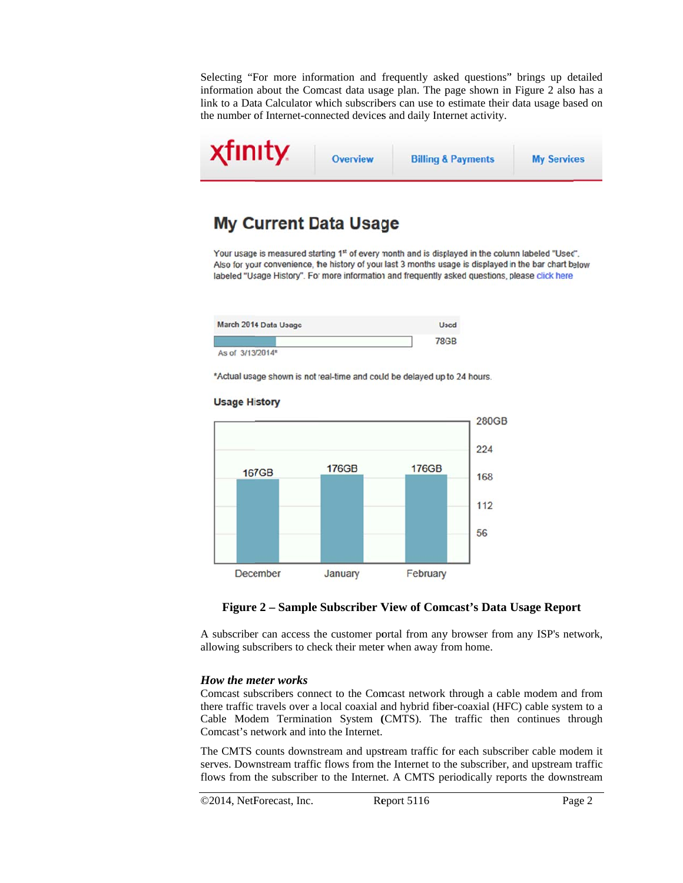Selecting "For more information and frequently asked questions" brings up detailed information about the Comcast data usage plan. The page shown in Figure 2 also has a link to a Data Calculator which subscribers can use to estimate their data usage based on the number of Internet-connected devices and daily Internet activity.



### **My Current Data Usage**

Your usage is measured starting 1st of every month and is displayed in the column labeled "Used". Also for your convenience, the history of your last 3 months usage is displayed in the bar chart below labeled "Usage History". For more information and frequently asked questions, please click here.

| March 2014 Data Usage | <b>Used</b> |
|-----------------------|-------------|
|                       | 78GB        |
| As of 3/13/2014*      |             |

\*Actual usage shown is not real-time and could be delayed up to 24 hours.



#### **Usage History**

#### Figure 2 – Sample Subscriber View of Comcast's Data Usage Report

A subscriber can access the customer portal from any browser from any ISP's network, allowing subscribers to check their meter when away from home.

#### **How the meter works**

Comcast subscribers connect to the Comcast network through a cable modem and from there traffic travels over a local coaxial and hybrid fiber-coaxial (HFC) cable system to a Cable Modem Termination System (CMTS). The traffic then continues through Comcast's network and into the Internet.

The CMTS counts downstream and upstream traffic for each subscriber cable modem it serves. Downstream traffic flows from the Internet to the subscriber, and upstream traffic flows from the subscriber to the Internet. A CMTS periodically reports the downstream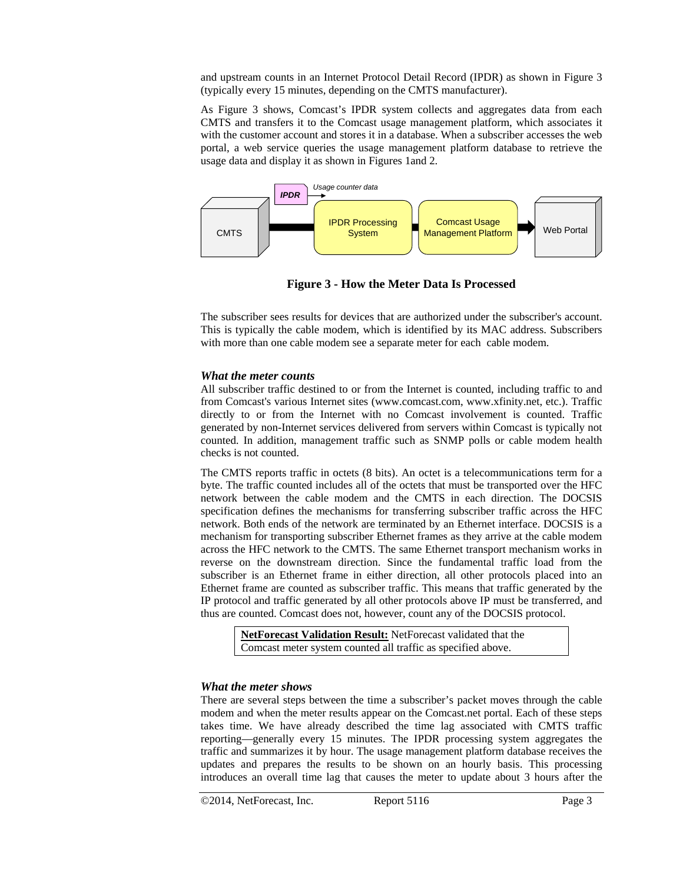and upstream counts in an Internet Protocol Detail Record (IPDR) as shown in Figure 3 (typically every 15 minutes, depending on the CMTS manufacturer).

As Figure 3 shows, Comcast's IPDR system collects and aggregates data from each CMTS and transfers it to the Comcast usage management platform, which associates it with the customer account and stores it in a database. When a subscriber accesses the web portal, a web service queries the usage management platform database to retrieve the usage data and display it as shown in Figures 1and 2.



**Figure 3 - How the Meter Data Is Processed** 

The subscriber sees results for devices that are authorized under the subscriber's account. This is typically the cable modem, which is identified by its MAC address. Subscribers with more than one cable modem see a separate meter for each cable modem.

#### *What the meter counts*

All subscriber traffic destined to or from the Internet is counted, including traffic to and from Comcast's various Internet sites (www.comcast.com, www.xfinity.net, etc.). Traffic directly to or from the Internet with no Comcast involvement is counted. Traffic generated by non-Internet services delivered from servers within Comcast is typically not counted. In addition, management traffic such as SNMP polls or cable modem health checks is not counted.

The CMTS reports traffic in octets (8 bits). An octet is a telecommunications term for a byte. The traffic counted includes all of the octets that must be transported over the HFC network between the cable modem and the CMTS in each direction. The DOCSIS specification defines the mechanisms for transferring subscriber traffic across the HFC network. Both ends of the network are terminated by an Ethernet interface. DOCSIS is a mechanism for transporting subscriber Ethernet frames as they arrive at the cable modem across the HFC network to the CMTS. The same Ethernet transport mechanism works in reverse on the downstream direction. Since the fundamental traffic load from the subscriber is an Ethernet frame in either direction, all other protocols placed into an Ethernet frame are counted as subscriber traffic. This means that traffic generated by the IP protocol and traffic generated by all other protocols above IP must be transferred, and thus are counted. Comcast does not, however, count any of the DOCSIS protocol.

**NetForecast Validation Result:** NetForecast validated that the Comcast meter system counted all traffic as specified above.

#### *What the meter shows*

There are several steps between the time a subscriber's packet moves through the cable modem and when the meter results appear on the Comcast.net portal. Each of these steps takes time. We have already described the time lag associated with CMTS traffic reporting—generally every 15 minutes. The IPDR processing system aggregates the traffic and summarizes it by hour. The usage management platform database receives the updates and prepares the results to be shown on an hourly basis. This processing introduces an overall time lag that causes the meter to update about 3 hours after the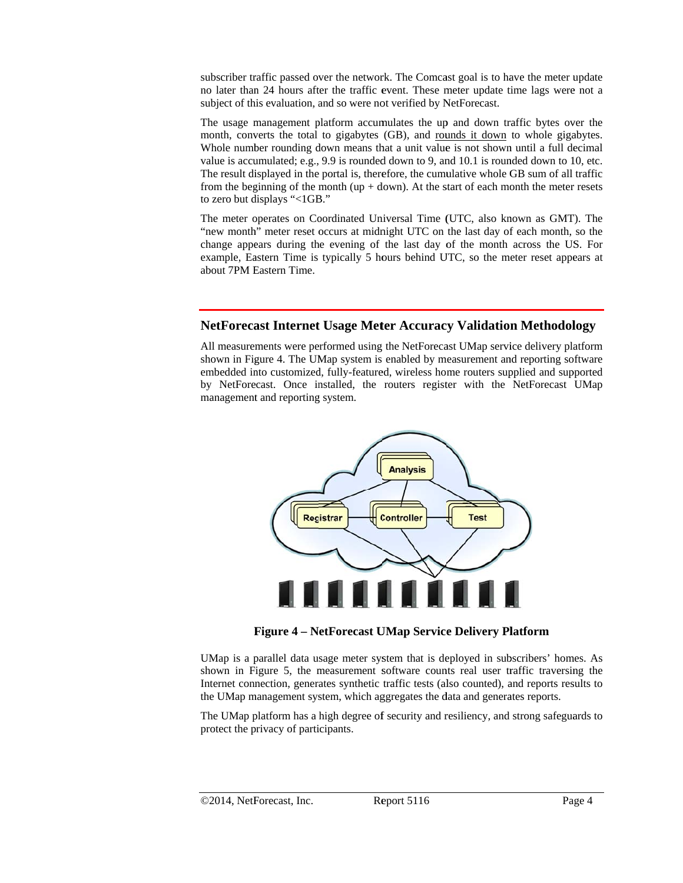subscriber traffic passed over the network. The Comcast goal is to have the meter update no later than 24 hours after the traffic event. These meter update time lags were not a subject of this evaluation, and so were not verified by NetForecast.

The usage management platform accumulates the up and down traffic bytes over the month, converts the total to gigabytes (GB), and rounds it down to whole gigabytes. Whole number rounding down means that a unit value is not shown until a full decimal value is accumulated; e.g., 9.9 is rounded down to 9, and 10.1 is rounded down to 10, etc. The result displayed in the portal is, therefore, the cumulative whole GB sum of all traffic from the beginning of the month (up + down). At the start of each month the meter resets to zero but d displays "<1GB B."

The meter operates on Coordinated Universal Time (UTC, also known as GMT). The "new month" meter reset occurs at midnight UTC on the last day of each month, so the change appears during the evening of the last day of the month across the US. For example, Eastern Time is typically 5 hours behind UTC, so the meter reset appears at about 7PM E Eastern Time.

#### **NetForecast Internet Usage Meter Accuracy Validation Methodology**

All measurements were performed using the NetForecast UMap service delivery platform shown in Figure 4. The UMap system is enabled by measurement and reporting software embedded into customized, fully-featured, wireless home routers supplied and supported by NetForecast. Once installed, the routers register with the NetForecast UMap management and reporting system.



**F Figure 4 – N etForecast U UMap Servic e Delivery Pl latform**

UMap is a parallel data usage meter system that is deployed in subscribers' homes. As shown in Figure 5, the measurement software counts real user traffic traversing the Internet connection, generates synthetic traffic tests (also counted), and reports results to the UMap management system, which aggregates the data and generates reports.

The UMap platform has a high degree of security and resiliency, and strong safeguards to protect the privacy of participants.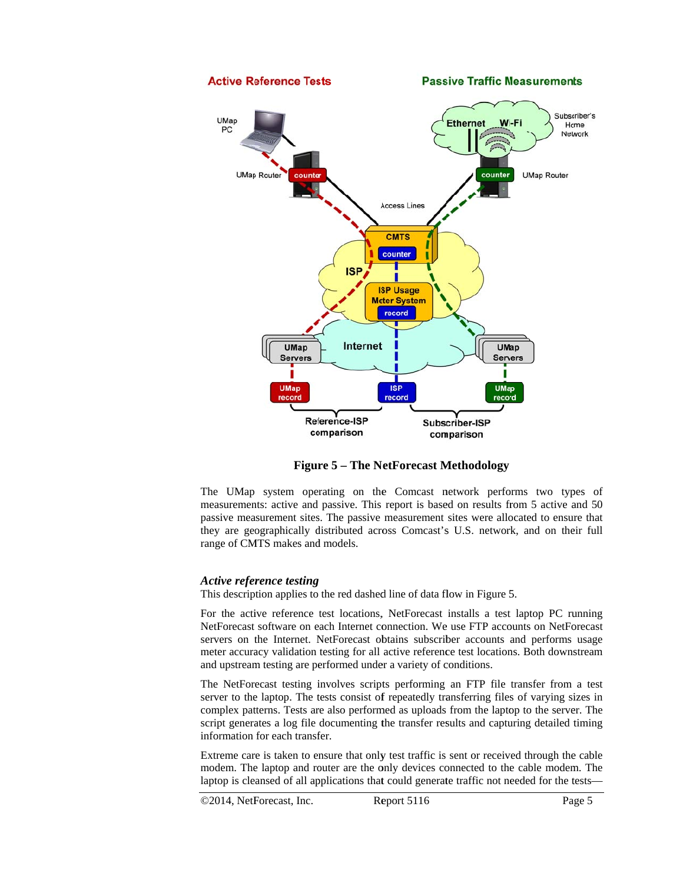

**Figure 5 - The NetForecast Methodology** 

The UMap system operating on the Comcast network performs two types of measurements: active and passive. This report is based on results from 5 active and 50 passive measurement sites. The passive measurement sites were allocated to ensure that they are geographically distributed across Comcast's U.S. network, and on their full range of CMTS makes and models.

#### **Active reference testing**

This description applies to the red dashed line of data flow in Figure 5.

For the active reference test locations, NetForecast installs a test laptop PC running NetForecast software on each Internet connection. We use FTP accounts on NetForecast servers on the Internet. NetForecast obtains subscriber accounts and performs usage meter accuracy validation testing for all active reference test locations. Both downstream and upstream testing are performed under a variety of conditions.

The NetForecast testing involves scripts performing an FTP file transfer from a test server to the laptop. The tests consist of repeatedly transferring files of varying sizes in complex patterns. Tests are also performed as uploads from the laptop to the server. The script generates a log file documenting the transfer results and capturing detailed timing information for each transfer.

Extreme care is taken to ensure that only test traffic is sent or received through the cable modem. The laptop and router are the only devices connected to the cable modem. The laptop is cleansed of all applications that could generate traffic not needed for the tests-

©2014, NetForecast, Inc.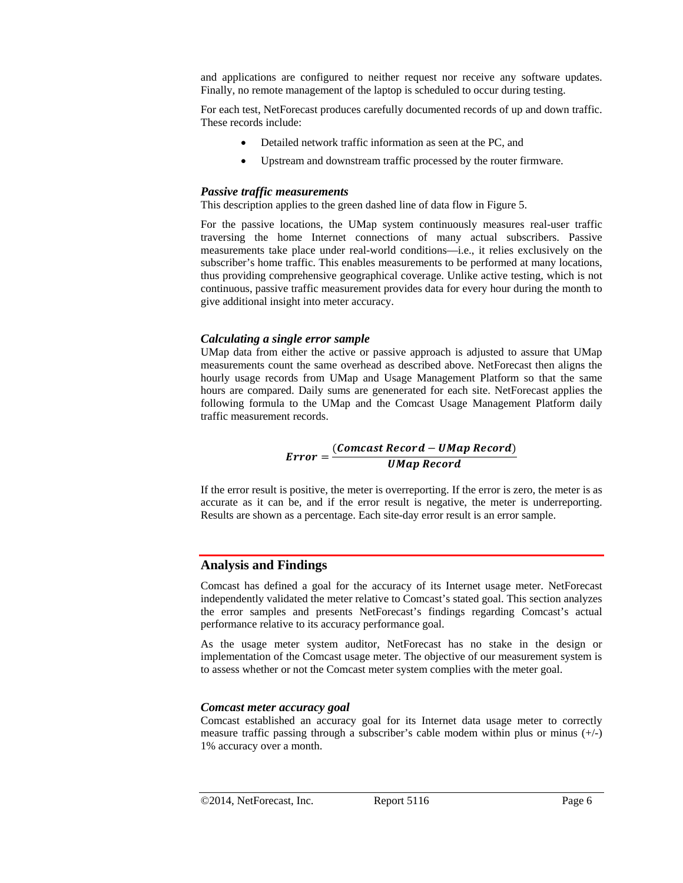and applications are configured to neither request nor receive any software updates. Finally, no remote management of the laptop is scheduled to occur during testing.

For each test, NetForecast produces carefully documented records of up and down traffic. These records include:

- Detailed network traffic information as seen at the PC, and
- Upstream and downstream traffic processed by the router firmware.

#### *Passive traffic measurements*

This description applies to the green dashed line of data flow in Figure 5.

For the passive locations, the UMap system continuously measures real-user traffic traversing the home Internet connections of many actual subscribers. Passive measurements take place under real-world conditions—i.e., it relies exclusively on the subscriber's home traffic. This enables measurements to be performed at many locations, thus providing comprehensive geographical coverage. Unlike active testing, which is not continuous, passive traffic measurement provides data for every hour during the month to give additional insight into meter accuracy.

#### *Calculating a single error sample*

UMap data from either the active or passive approach is adjusted to assure that UMap measurements count the same overhead as described above. NetForecast then aligns the hourly usage records from UMap and Usage Management Platform so that the same hours are compared. Daily sums are genenerated for each site. NetForecast applies the following formula to the UMap and the Comcast Usage Management Platform daily traffic measurement records.

# $Error = \frac{(Comcast\ Record - UMap\ Record)}{UMap\ Record}$

If the error result is positive, the meter is overreporting. If the error is zero, the meter is as accurate as it can be, and if the error result is negative, the meter is underreporting. Results are shown as a percentage. Each site-day error result is an error sample.

#### **Analysis and Findings**

Comcast has defined a goal for the accuracy of its Internet usage meter. NetForecast independently validated the meter relative to Comcast's stated goal. This section analyzes the error samples and presents NetForecast's findings regarding Comcast's actual performance relative to its accuracy performance goal.

As the usage meter system auditor, NetForecast has no stake in the design or implementation of the Comcast usage meter. The objective of our measurement system is to assess whether or not the Comcast meter system complies with the meter goal.

#### *Comcast meter accuracy goal*

Comcast established an accuracy goal for its Internet data usage meter to correctly measure traffic passing through a subscriber's cable modem within plus or minus (+/-) 1% accuracy over a month.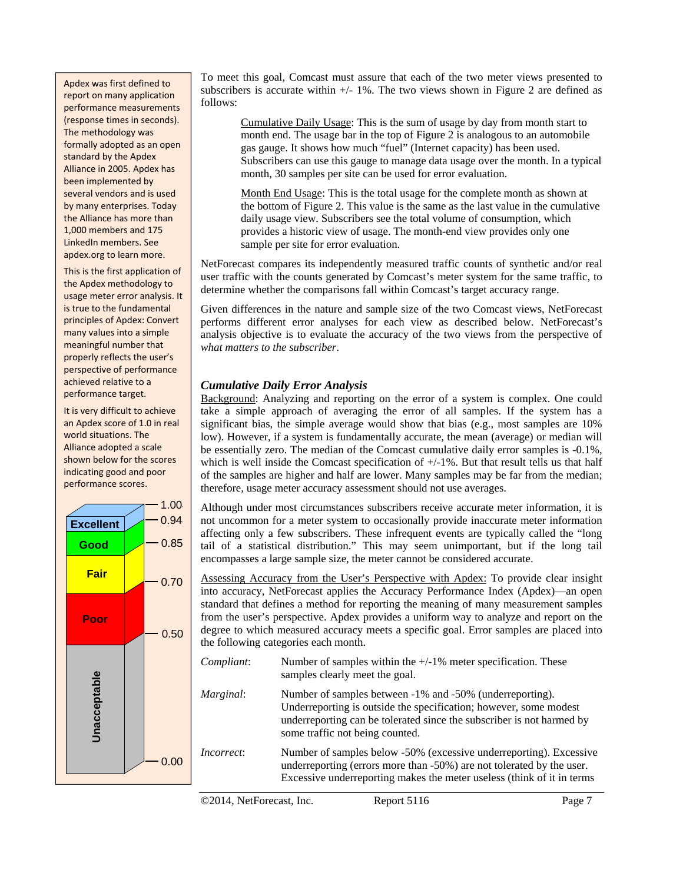Apdex was first defined to report on many application performance measurements (response times in seconds). The methodology was formally adopted as an open standard by the Apdex Alliance in 2005. Apdex has been implemented by several vendors and is used by many enterprises. Today the Alliance has more than 1,000 members and 175 LinkedIn members. See apdex.org to learn more.

This is the first application of the Apdex methodology to usage meter error analysis. It is true to the fundamental principles of Apdex: Convert many values into a simple meaningful number that properly reflects the user's perspective of performance achieved relative to a performance target.

It is very difficult to achieve an Apdex score of 1.0 in real world situations. The Alliance adopted a scale shown below for the scores indicating good and poor performance scores.



To meet this goal, Comcast must assure that each of the two meter views presented to subscribers is accurate within  $+/- 1\%$ . The two views shown in Figure 2 are defined as follows:

Cumulative Daily Usage: This is the sum of usage by day from month start to month end. The usage bar in the top of Figure 2 is analogous to an automobile gas gauge. It shows how much "fuel" (Internet capacity) has been used. Subscribers can use this gauge to manage data usage over the month. In a typical month, 30 samples per site can be used for error evaluation.

Month End Usage: This is the total usage for the complete month as shown at the bottom of Figure 2. This value is the same as the last value in the cumulative daily usage view. Subscribers see the total volume of consumption, which provides a historic view of usage. The month-end view provides only one sample per site for error evaluation.

NetForecast compares its independently measured traffic counts of synthetic and/or real user traffic with the counts generated by Comcast's meter system for the same traffic, to determine whether the comparisons fall within Comcast's target accuracy range.

Given differences in the nature and sample size of the two Comcast views, NetForecast performs different error analyses for each view as described below. NetForecast's analysis objective is to evaluate the accuracy of the two views from the perspective of *what matters to the subscriber*.

#### *Cumulative Daily Error Analysis*

Background: Analyzing and reporting on the error of a system is complex. One could take a simple approach of averaging the error of all samples. If the system has a significant bias, the simple average would show that bias (e.g., most samples are 10% low). However, if a system is fundamentally accurate, the mean (average) or median will be essentially zero. The median of the Comcast cumulative daily error samples is -0.1%, which is well inside the Comcast specification of  $+/-1\%$ . But that result tells us that half of the samples are higher and half are lower. Many samples may be far from the median; therefore, usage meter accuracy assessment should not use averages.

Although under most circumstances subscribers receive accurate meter information, it is not uncommon for a meter system to occasionally provide inaccurate meter information affecting only a few subscribers. These infrequent events are typically called the "long tail of a statistical distribution." This may seem unimportant, but if the long tail encompasses a large sample size, the meter cannot be considered accurate.

Assessing Accuracy from the User's Perspective with Apdex: To provide clear insight into accuracy, NetForecast applies the Accuracy Performance Index (Apdex)—an open standard that defines a method for reporting the meaning of many measurement samples from the user's perspective. Apdex provides a uniform way to analyze and report on the degree to which measured accuracy meets a specific goal. Error samples are placed into the following categories each month.

*Compliant*: Number of samples within the  $+/-1%$  meter specification. These samples clearly meet the goal. *Marginal*: Number of samples between -1% and -50% (underreporting). Underreporting is outside the specification; however, some modest underreporting can be tolerated since the subscriber is not harmed by some traffic not being counted. *Incorrect*: Number of samples below -50% (excessive underreporting). Excessive underreporting (errors more than -50%) are not tolerated by the user. Excessive underreporting makes the meter useless (think of it in terms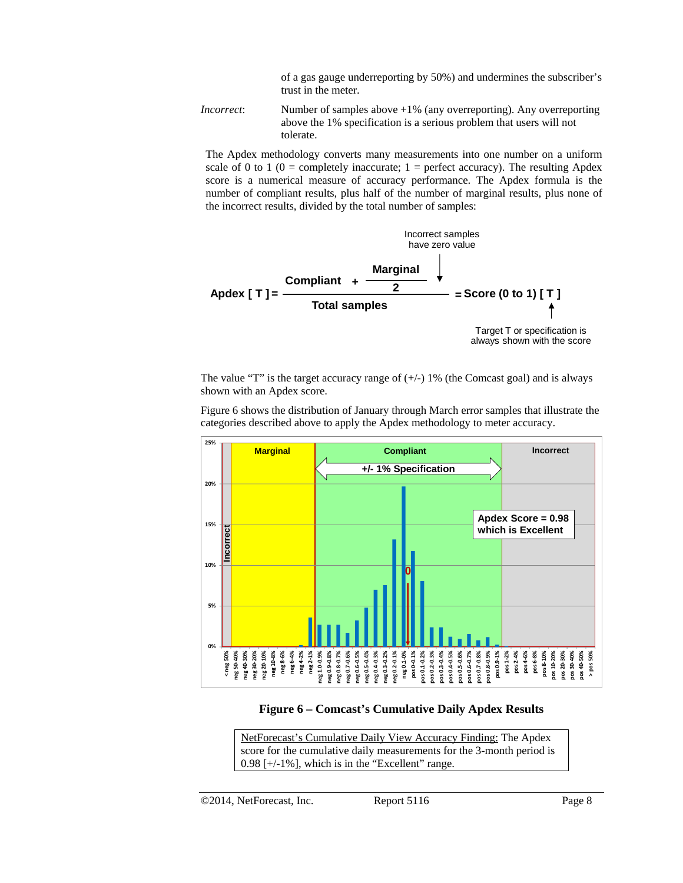of a gas gauge underreporting by 50%) and undermines the subscriber's trust in the meter.

*Incorrect*: Number of samples above +1% (any overreporting). Any overreporting above the 1% specification is a serious problem that users will not tolerate.

The Apdex methodology converts many measurements into one number on a uniform scale of 0 to 1 (0 = completely inaccurate;  $1 =$  perfect accuracy). The resulting Apdex score is a numerical measure of accuracy performance. The Apdex formula is the number of compliant results, plus half of the number of marginal results, plus none of the incorrect results, divided by the total number of samples:



The value "T" is the target accuracy range of  $(+)$  1% (the Comcast goal) and is always shown with an Apdex score.

Figure 6 shows the distribution of January through March error samples that illustrate the categories described above to apply the Apdex methodology to meter accuracy.



**Figure 6 – Comcast's Cumulative Daily Apdex Results** 

NetForecast's Cumulative Daily View Accuracy Finding: The Apdex score for the cumulative daily measurements for the 3-month period is  $0.98$  [ $+/-1\%$ ], which is in the "Excellent" range.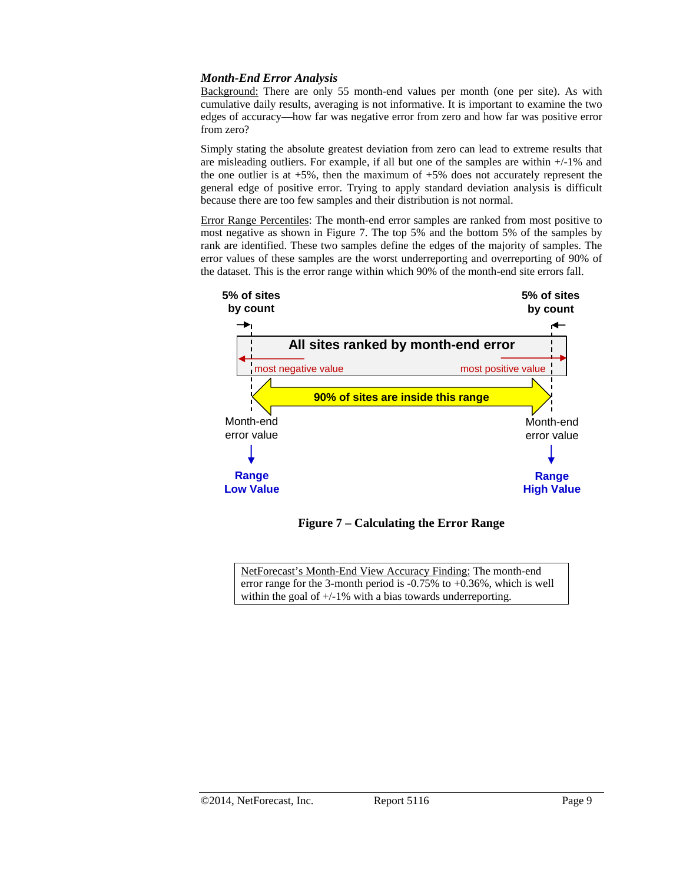#### *Month-End Error Analysis*

Background: There are only 55 month-end values per month (one per site). As with cumulative daily results, averaging is not informative. It is important to examine the two edges of accuracy—how far was negative error from zero and how far was positive error from zero?

Simply stating the absolute greatest deviation from zero can lead to extreme results that are misleading outliers. For example, if all but one of the samples are within  $+/-1\%$  and the one outlier is at  $+5\%$ , then the maximum of  $+5\%$  does not accurately represent the general edge of positive error. Trying to apply standard deviation analysis is difficult because there are too few samples and their distribution is not normal.

Error Range Percentiles: The month-end error samples are ranked from most positive to most negative as shown in Figure 7. The top 5% and the bottom 5% of the samples by rank are identified. These two samples define the edges of the majority of samples. The error values of these samples are the worst underreporting and overreporting of 90% of the dataset. This is the error range within which 90% of the month-end site errors fall.



**Figure 7 – Calculating the Error Range** 

NetForecast's Month-End View Accuracy Finding: The month-end error range for the 3-month period is -0.75% to +0.36%, which is well within the goal of  $+/-1\%$  with a bias towards underreporting.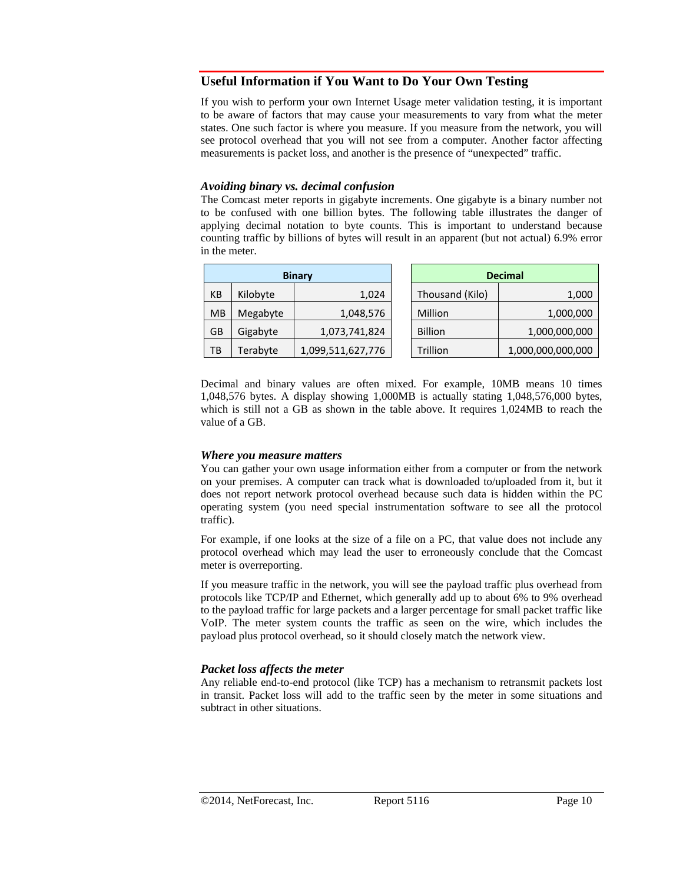#### **Useful Information if You Want to Do Your Own Testing**

If you wish to perform your own Internet Usage meter validation testing, it is important to be aware of factors that may cause your measurements to vary from what the meter states. One such factor is where you measure. If you measure from the network, you will see protocol overhead that you will not see from a computer. Another factor affecting measurements is packet loss, and another is the presence of "unexpected" traffic.

#### *Avoiding binary vs. decimal confusion*

The Comcast meter reports in gigabyte increments. One gigabyte is a binary number not to be confused with one billion bytes. The following table illustrates the danger of applying decimal notation to byte counts. This is important to understand because counting traffic by billions of bytes will result in an apparent (but not actual) 6.9% error in the meter.

| <b>Binary</b> |          | <b>Decimal</b>    |                 |                   |
|---------------|----------|-------------------|-----------------|-------------------|
| KB            | Kilobyte | 1,024             | Thousand (Kilo) | 1,000             |
| <b>MB</b>     | Megabyte | 1,048,576         | Million         | 1,000,000         |
| GB            | Gigabyte | 1,073,741,824     | <b>Billion</b>  | 1,000,000,000     |
| TB            | Terabyte | 1,099,511,627,776 | Trillion        | 1,000,000,000,000 |

Decimal and binary values are often mixed. For example, 10MB means 10 times 1,048,576 bytes. A display showing 1,000MB is actually stating 1,048,576,000 bytes, which is still not a GB as shown in the table above. It requires 1,024MB to reach the value of a GB.

#### *Where you measure matters*

You can gather your own usage information either from a computer or from the network on your premises. A computer can track what is downloaded to/uploaded from it, but it does not report network protocol overhead because such data is hidden within the PC operating system (you need special instrumentation software to see all the protocol traffic).

For example, if one looks at the size of a file on a PC, that value does not include any protocol overhead which may lead the user to erroneously conclude that the Comcast meter is overreporting.

If you measure traffic in the network, you will see the payload traffic plus overhead from protocols like TCP/IP and Ethernet, which generally add up to about 6% to 9% overhead to the payload traffic for large packets and a larger percentage for small packet traffic like VoIP. The meter system counts the traffic as seen on the wire, which includes the payload plus protocol overhead, so it should closely match the network view.

#### *Packet loss affects the meter*

Any reliable end-to-end protocol (like TCP) has a mechanism to retransmit packets lost in transit. Packet loss will add to the traffic seen by the meter in some situations and subtract in other situations.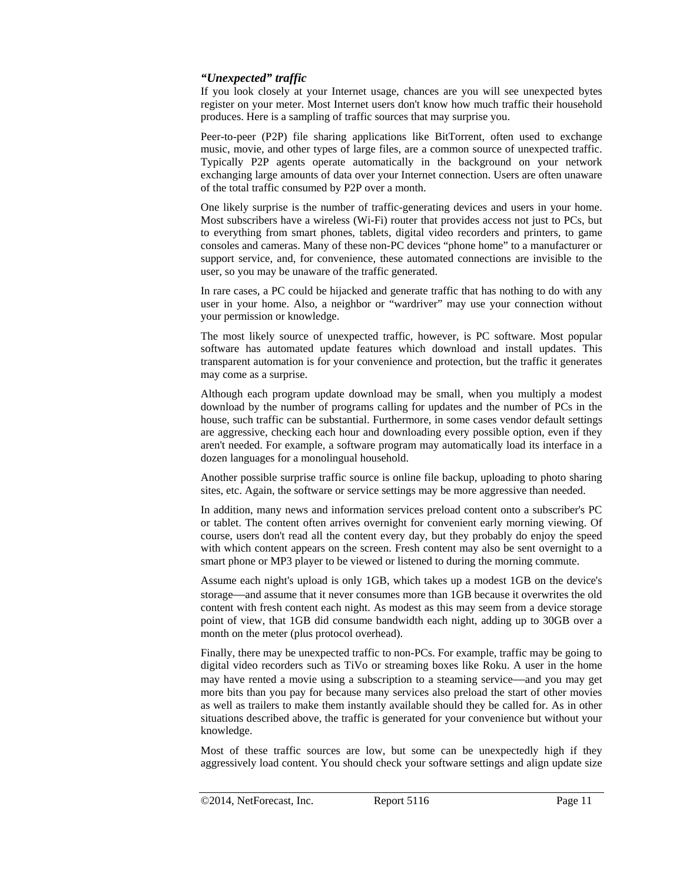#### *"Unexpected" traffic*

If you look closely at your Internet usage, chances are you will see unexpected bytes register on your meter. Most Internet users don't know how much traffic their household produces. Here is a sampling of traffic sources that may surprise you.

Peer-to-peer (P2P) file sharing applications like BitTorrent, often used to exchange music, movie, and other types of large files, are a common source of unexpected traffic. Typically P2P agents operate automatically in the background on your network exchanging large amounts of data over your Internet connection. Users are often unaware of the total traffic consumed by P2P over a month.

One likely surprise is the number of traffic-generating devices and users in your home. Most subscribers have a wireless (Wi-Fi) router that provides access not just to PCs, but to everything from smart phones, tablets, digital video recorders and printers, to game consoles and cameras. Many of these non-PC devices "phone home" to a manufacturer or support service, and, for convenience, these automated connections are invisible to the user, so you may be unaware of the traffic generated.

In rare cases, a PC could be hijacked and generate traffic that has nothing to do with any user in your home. Also, a neighbor or "wardriver" may use your connection without your permission or knowledge.

The most likely source of unexpected traffic, however, is PC software. Most popular software has automated update features which download and install updates. This transparent automation is for your convenience and protection, but the traffic it generates may come as a surprise.

Although each program update download may be small, when you multiply a modest download by the number of programs calling for updates and the number of PCs in the house, such traffic can be substantial. Furthermore, in some cases vendor default settings are aggressive, checking each hour and downloading every possible option, even if they aren't needed. For example, a software program may automatically load its interface in a dozen languages for a monolingual household.

Another possible surprise traffic source is online file backup, uploading to photo sharing sites, etc. Again, the software or service settings may be more aggressive than needed.

In addition, many news and information services preload content onto a subscriber's PC or tablet. The content often arrives overnight for convenient early morning viewing. Of course, users don't read all the content every day, but they probably do enjoy the speed with which content appears on the screen. Fresh content may also be sent overnight to a smart phone or MP3 player to be viewed or listened to during the morning commute.

Assume each night's upload is only 1GB, which takes up a modest 1GB on the device's storage—and assume that it never consumes more than 1GB because it overwrites the old content with fresh content each night. As modest as this may seem from a device storage point of view, that 1GB did consume bandwidth each night, adding up to 30GB over a month on the meter (plus protocol overhead).

Finally, there may be unexpected traffic to non-PCs. For example, traffic may be going to digital video recorders such as TiVo or streaming boxes like Roku. A user in the home may have rented a movie using a subscription to a steaming service—and you may get more bits than you pay for because many services also preload the start of other movies as well as trailers to make them instantly available should they be called for. As in other situations described above, the traffic is generated for your convenience but without your knowledge.

Most of these traffic sources are low, but some can be unexpectedly high if they aggressively load content. You should check your software settings and align update size